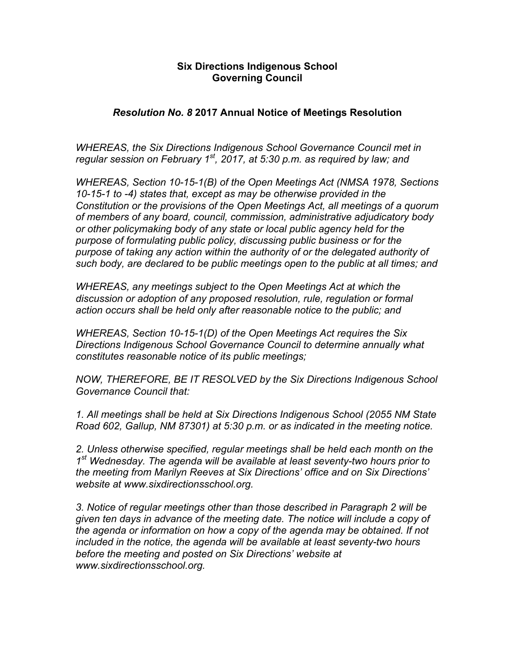## **Six Directions Indigenous School Governing Council**

## *Resolution No. 8* **2017 Annual Notice of Meetings Resolution**

*WHEREAS, the Six Directions Indigenous School Governance Council met in regular session on February 1st, 2017, at 5:30 p.m. as required by law; and*

*WHEREAS, Section 10-15-1(B) of the Open Meetings Act (NMSA 1978, Sections 10-15-1 to -4) states that, except as may be otherwise provided in the Constitution or the provisions of the Open Meetings Act, all meetings of a quorum of members of any board, council, commission, administrative adjudicatory body or other policymaking body of any state or local public agency held for the purpose of formulating public policy, discussing public business or for the purpose of taking any action within the authority of or the delegated authority of such body, are declared to be public meetings open to the public at all times; and*

*WHEREAS, any meetings subject to the Open Meetings Act at which the discussion or adoption of any proposed resolution, rule, regulation or formal action occurs shall be held only after reasonable notice to the public; and*

*WHEREAS, Section 10-15-1(D) of the Open Meetings Act requires the Six Directions Indigenous School Governance Council to determine annually what constitutes reasonable notice of its public meetings;*

*NOW, THEREFORE, BE IT RESOLVED by the Six Directions Indigenous School Governance Council that:*

*1. All meetings shall be held at Six Directions Indigenous School (2055 NM State Road 602, Gallup, NM 87301) at 5:30 p.m. or as indicated in the meeting notice.*

*2. Unless otherwise specified, regular meetings shall be held each month on the 1st Wednesday. The agenda will be available at least seventy-two hours prior to the meeting from Marilyn Reeves at Six Directions' office and on Six Directions' website at www.sixdirectionsschool.org.* 

*3. Notice of regular meetings other than those described in Paragraph 2 will be given ten days in advance of the meeting date. The notice will include a copy of the agenda or information on how a copy of the agenda may be obtained. If not included in the notice, the agenda will be available at least seventy-two hours before the meeting and posted on Six Directions' website at www.sixdirectionsschool.org.*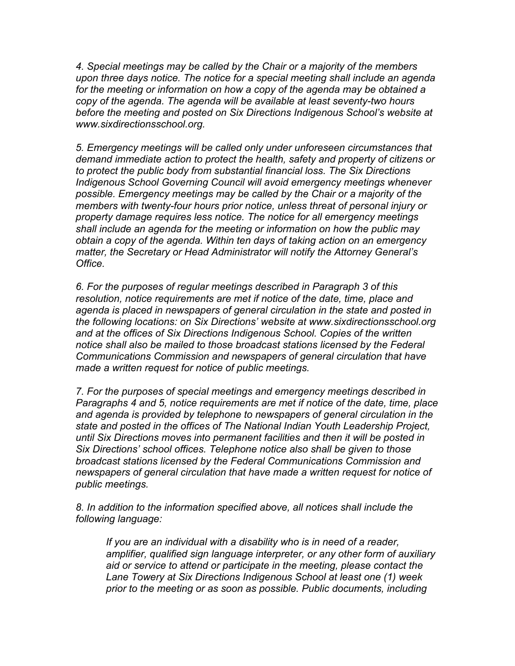*4. Special meetings may be called by the Chair or a majority of the members upon three days notice. The notice for a special meeting shall include an agenda for the meeting or information on how a copy of the agenda may be obtained a copy of the agenda. The agenda will be available at least seventy-two hours before the meeting and posted on Six Directions Indigenous School's website at www.sixdirectionsschool.org.*

*5. Emergency meetings will be called only under unforeseen circumstances that demand immediate action to protect the health, safety and property of citizens or to protect the public body from substantial financial loss. The Six Directions Indigenous School Governing Council will avoid emergency meetings whenever possible. Emergency meetings may be called by the Chair or a majority of the members with twenty-four hours prior notice, unless threat of personal injury or property damage requires less notice. The notice for all emergency meetings shall include an agenda for the meeting or information on how the public may obtain a copy of the agenda. Within ten days of taking action on an emergency matter, the Secretary or Head Administrator will notify the Attorney General's Office.*

*6. For the purposes of regular meetings described in Paragraph 3 of this resolution, notice requirements are met if notice of the date, time, place and agenda is placed in newspapers of general circulation in the state and posted in the following locations: on Six Directions' website at www.sixdirectionsschool.org and at the offices of Six Directions Indigenous School. Copies of the written notice shall also be mailed to those broadcast stations licensed by the Federal Communications Commission and newspapers of general circulation that have made a written request for notice of public meetings.*

*7. For the purposes of special meetings and emergency meetings described in Paragraphs 4 and 5, notice requirements are met if notice of the date, time, place and agenda is provided by telephone to newspapers of general circulation in the state and posted in the offices of The National Indian Youth Leadership Project, until Six Directions moves into permanent facilities and then it will be posted in Six Directions' school offices. Telephone notice also shall be given to those broadcast stations licensed by the Federal Communications Commission and newspapers of general circulation that have made a written request for notice of public meetings.*

*8. In addition to the information specified above, all notices shall include the following language:*

*If you are an individual with a disability who is in need of a reader, amplifier, qualified sign language interpreter, or any other form of auxiliary aid or service to attend or participate in the meeting, please contact the Lane Towery at Six Directions Indigenous School at least one (1) week prior to the meeting or as soon as possible. Public documents, including*